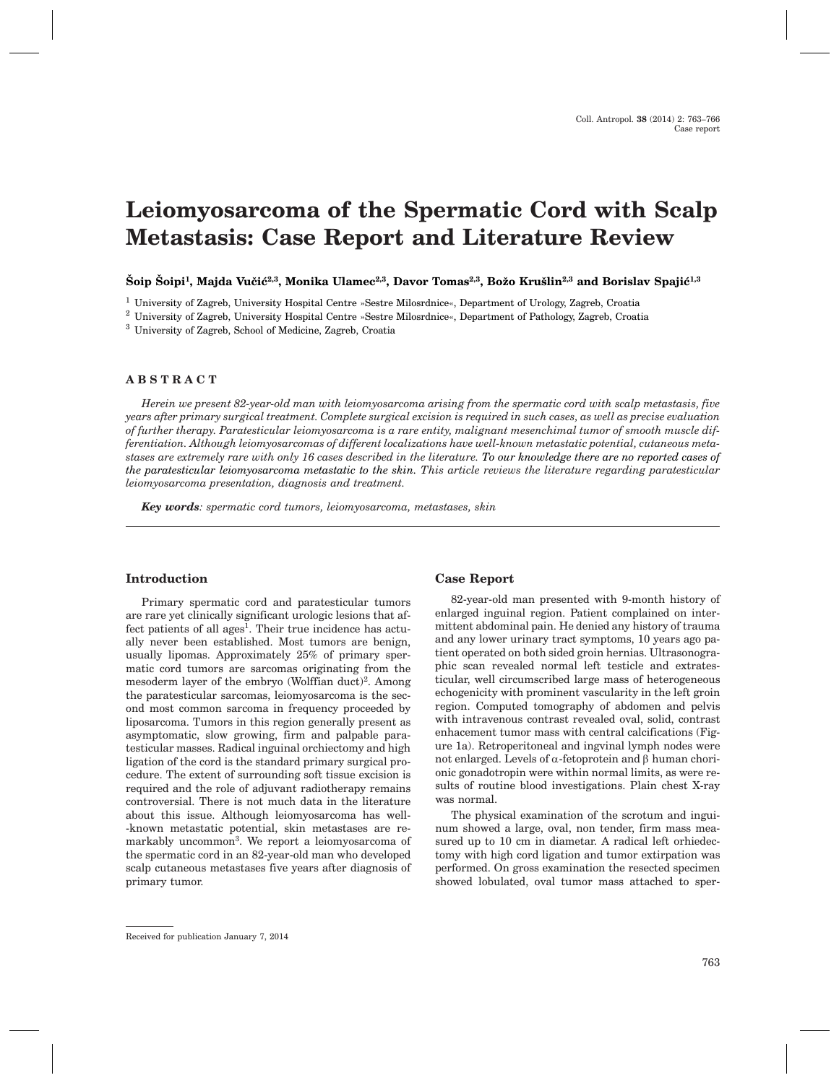# **Leiomyosarcoma of the Spermatic Cord with Scalp Metastasis: Case Report and Literature Review**

Šoip Šoipi<sup>1</sup>, Majda Vučić<sup>2,3</sup>, Monika Ulamec<sup>2,3</sup>, Davor Tomas<sup>2,3</sup>, Božo Krušlin<sup>2,3</sup> and Borislav Spajić<sup>1,3</sup>

<sup>1</sup> University of Zagreb, University Hospital Centre »Sestre Milosrdnice«, Department of Urology, Zagreb, Croatia

<sup>2</sup> University of Zagreb, University Hospital Centre »Sestre Milosrdnice«, Department of Pathology, Zagreb, Croatia

<sup>3</sup> University of Zagreb, School of Medicine, Zagreb, Croatia

# **ABSTRACT**

*Herein we present 82-year-old man with leiomyosarcoma arising from the spermatic cord with scalp metastasis, five years after primary surgical treatment. Complete surgical excision is required in such cases, as well as precise evaluation of further therapy. Paratesticular leiomyosarcoma is a rare entity, malignant mesenchimal tumor of smooth muscle differentiation. Although leiomyosarcomas of different localizations have well-known metastatic potential, cutaneous metastases are extremely rare with only 16 cases described in the literature. To our knowledge there are no reported cases of the paratesticular leiomyosarcoma metastatic to the skin. This article reviews the literature regarding paratesticular leiomyosarcoma presentation, diagnosis and treatment.*

*Key words: spermatic cord tumors, leiomyosarcoma, metastases, skin*

#### **Introduction**

Primary spermatic cord and paratesticular tumors are rare yet clinically significant urologic lesions that affect patients of all ages<sup>1</sup>. Their true incidence has actually never been established. Most tumors are benign, usually lipomas. Approximately 25% of primary spermatic cord tumors are sarcomas originating from the mesoderm layer of the embryo (Wolffian duct)<sup>2</sup>. Among the paratesticular sarcomas, leiomyosarcoma is the second most common sarcoma in frequency proceeded by liposarcoma. Tumors in this region generally present as asymptomatic, slow growing, firm and palpable paratesticular masses. Radical inguinal orchiectomy and high ligation of the cord is the standard primary surgical procedure. The extent of surrounding soft tissue excision is required and the role of adjuvant radiotherapy remains controversial. There is not much data in the literature about this issue. Although leiomyosarcoma has well- -known metastatic potential, skin metastases are remarkably uncommon<sup>3</sup>. We report a leiomyosarcoma of the spermatic cord in an 82-year-old man who developed scalp cutaneous metastases five years after diagnosis of primary tumor.

#### **Case Report**

82-year-old man presented with 9-month history of enlarged inguinal region. Patient complained on intermittent abdominal pain. He denied any history of trauma and any lower urinary tract symptoms, 10 years ago patient operated on both sided groin hernias. Ultrasonographic scan revealed normal left testicle and extratesticular, well circumscribed large mass of heterogeneous echogenicity with prominent vascularity in the left groin region. Computed tomography of abdomen and pelvis with intravenous contrast revealed oval, solid, contrast enhacement tumor mass with central calcifications (Figure 1a). Retroperitoneal and ingvinal lymph nodes were not enlarged. Levels of  $\alpha$ -fetoprotein and  $\beta$  human chorionic gonadotropin were within normal limits, as were results of routine blood investigations. Plain chest X-ray was normal.

The physical examination of the scrotum and inguinum showed a large, oval, non tender, firm mass measured up to 10 cm in diametar. A radical left orhiedectomy with high cord ligation and tumor extirpation was performed. On gross examination the resected specimen showed lobulated, oval tumor mass attached to sper-

Received for publication January 7, 2014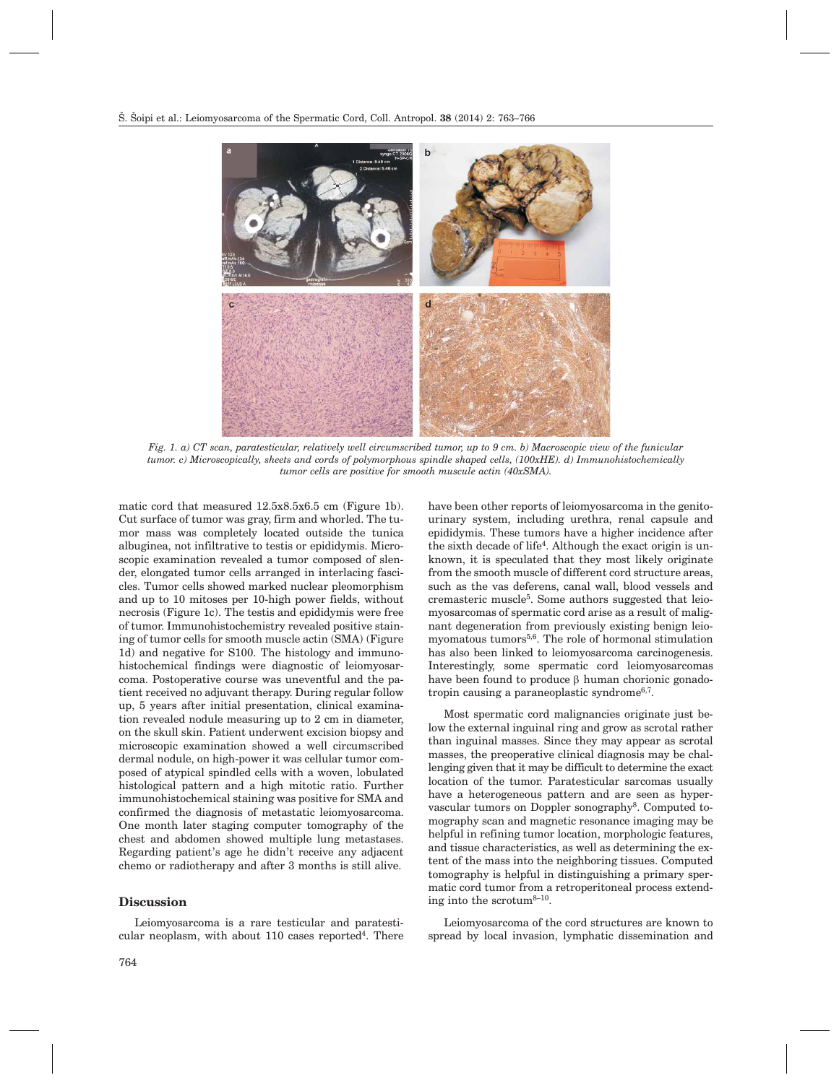

*Fig. 1. a) CT scan, paratesticular, relatively well circumscribed tumor, up to 9 cm. b) Macroscopic view of the funicular tumor. c) Microscopically, sheets and cords of polymorphous spindle shaped cells, (100xHE). d) Immunohistochemically tumor cells are positive for smooth muscule actin (40xSMA).*

matic cord that measured 12.5x8.5x6.5 cm (Figure 1b). Cut surface of tumor was gray, firm and whorled. The tumor mass was completely located outside the tunica albuginea, not infiltrative to testis or epididymis. Microscopic examination revealed a tumor composed of slender, elongated tumor cells arranged in interlacing fascicles. Tumor cells showed marked nuclear pleomorphism and up to 10 mitoses per 10-high power fields, without necrosis (Figure 1c). The testis and epididymis were free of tumor. Immunohistochemistry revealed positive staining of tumor cells for smooth muscle actin (SMA) (Figure 1d) and negative for S100. The histology and immunohistochemical findings were diagnostic of leiomyosarcoma. Postoperative course was uneventful and the patient received no adjuvant therapy. During regular follow up, 5 years after initial presentation, clinical examination revealed nodule measuring up to 2 cm in diameter, on the skull skin. Patient underwent excision biopsy and microscopic examination showed a well circumscribed dermal nodule, on high-power it was cellular tumor composed of atypical spindled cells with a woven, lobulated histological pattern and a high mitotic ratio. Further immunohistochemical staining was positive for SMA and confirmed the diagnosis of metastatic leiomyosarcoma. One month later staging computer tomography of the chest and abdomen showed multiple lung metastases. Regarding patient's age he didn't receive any adjacent chemo or radiotherapy and after 3 months is still alive.

# **Discussion**

Leiomyosarcoma is a rare testicular and paratesticular neoplasm, with about  $110$  cases reported<sup>4</sup>. There

the sixth decade of life<sup>4</sup>. Although the exact origin is unknown, it is speculated that they most likely originate from the smooth muscle of different cord structure areas, such as the vas deferens, canal wall, blood vessels and cremasteric muscle5. Some authors suggested that leiomyosarcomas of spermatic cord arise as a result of malignant degeneration from previously existing benign leiomyomatous tumors $5,6$ . The role of hormonal stimulation has also been linked to leiomyosarcoma carcinogenesis. Interestingly, some spermatic cord leiomyosarcomas have been found to produce  $\beta$  human chorionic gonadotropin causing a paraneoplastic syndrome6,7. Most spermatic cord malignancies originate just below the external inguinal ring and grow as scrotal rather than inguinal masses. Since they may appear as scrotal

have been other reports of leiomyosarcoma in the genitourinary system, including urethra, renal capsule and epididymis. These tumors have a higher incidence after

masses, the preoperative clinical diagnosis may be challenging given that it may be difficult to determine the exact location of the tumor. Paratesticular sarcomas usually have a heterogeneous pattern and are seen as hypervascular tumors on Doppler sonography8. Computed tomography scan and magnetic resonance imaging may be helpful in refining tumor location, morphologic features, and tissue characteristics, as well as determining the extent of the mass into the neighboring tissues. Computed tomography is helpful in distinguishing a primary spermatic cord tumor from a retroperitoneal process extending into the scrotum $8-10$ .

Leiomyosarcoma of the cord structures are known to spread by local invasion, lymphatic dissemination and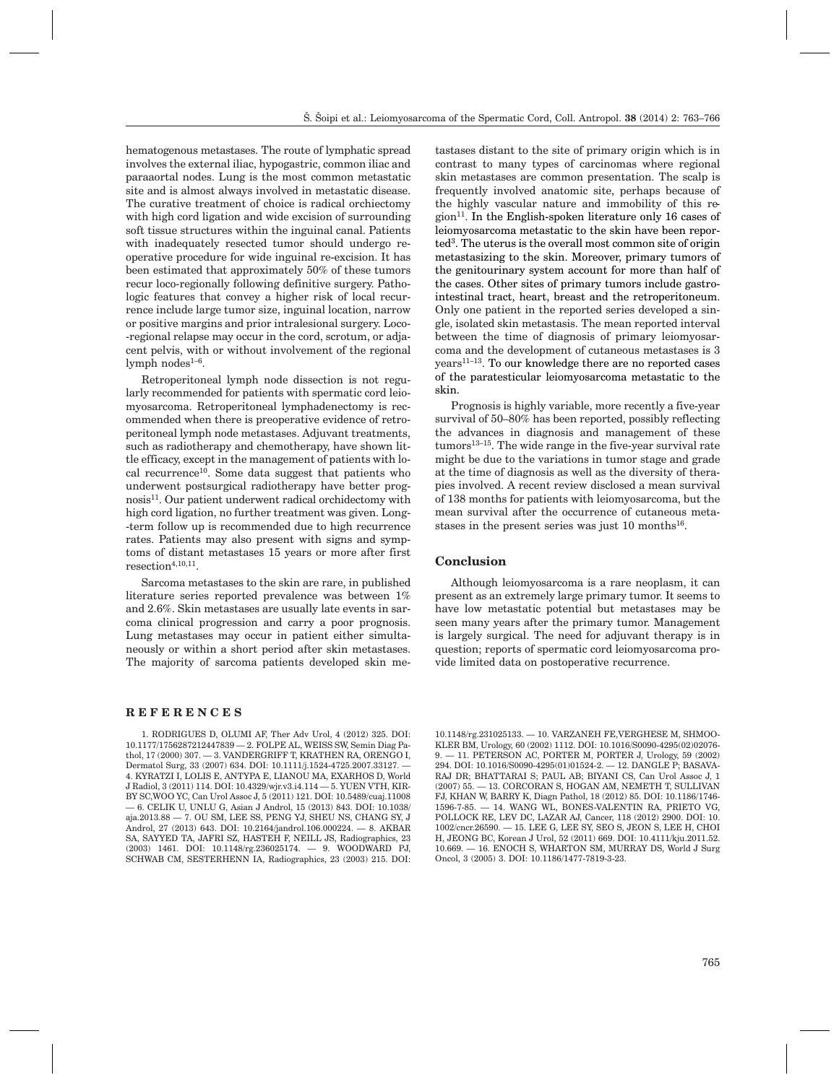hematogenous metastases. The route of lymphatic spread involves the external iliac, hypogastric, common iliac and paraaortal nodes. Lung is the most common metastatic site and is almost always involved in metastatic disease. The curative treatment of choice is radical orchiectomy with high cord ligation and wide excision of surrounding soft tissue structures within the inguinal canal. Patients with inadequately resected tumor should undergo reoperative procedure for wide inguinal re-excision. It has been estimated that approximately 50% of these tumors recur loco-regionally following definitive surgery. Pathologic features that convey a higher risk of local recurrence include large tumor size, inguinal location, narrow or positive margins and prior intralesional surgery. Loco- -regional relapse may occur in the cord, scrotum, or adjacent pelvis, with or without involvement of the regional lymph nodes $1-6$ .

Retroperitoneal lymph node dissection is not regularly recommended for patients with spermatic cord leiomyosarcoma. Retroperitoneal lymphadenectomy is recommended when there is preoperative evidence of retroperitoneal lymph node metastases. Adjuvant treatments, such as radiotherapy and chemotherapy, have shown little efficacy, except in the management of patients with local recurrence10. Some data suggest that patients who underwent postsurgical radiotherapy have better prognosis11. Our patient underwent radical orchidectomy with high cord ligation, no further treatment was given. Long- -term follow up is recommended due to high recurrence rates. Patients may also present with signs and symptoms of distant metastases 15 years or more after first  $resection^{4,10,11}$ 

Sarcoma metastases to the skin are rare, in published literature series reported prevalence was between 1% and 2.6%. Skin metastases are usually late events in sarcoma clinical progression and carry a poor prognosis. Lung metastases may occur in patient either simultaneously or within a short period after skin metastases. The majority of sarcoma patients developed skin me-

### **REFERENCES**

1. RODRIGUES D, OLUMI AF, Ther Adv Urol, 4 (2012) 325. DOI: 10.1177/1756287212447839 — 2. FOLPE AL, WEISS SW, Semin Diag Pathol, 17 (2000) 307. — 3. VANDERGRIFF T, KRATHEN RA, ORENGO I, Dermatol Surg, 33 (2007) 634. DOI: 10.1111/j.1524-4725.2007.33127. — 4. KYRATZI I, LOLIS E, ANTYPA E, LIANOU MA, EXARHOS D, World J Radiol, 3 (2011) 114. DOI: 10.4329/wjr.v3.i4.114 — 5. YUEN VTH, KIR-BY SC,WOO YC, Can Urol Assoc J, 5 (2011) 121. DOI: 10.5489/cuaj.11008 — 6. CELIK U, UNLU G, Asian J Androl, 15 (2013) 843. DOI: 10.1038/ aja.2013.88 — 7. OU SM, LEE SS, PENG YJ, SHEU NS, CHANG SY, J Androl, 27 (2013) 643. DOI: 10.2164/jandrol.106.000224. — 8. AKBAR SA, SAYYED TA, JAFRI SZ, HASTEH F, NEILL JS, Radiographics, 23 (2003) 1461. DOI: 10.1148/rg.236025174. — 9. WOODWARD PJ, SCHWAB CM, SESTERHENN IA, Radiographics, 23 (2003) 215. DOI: tastases distant to the site of primary origin which is in contrast to many types of carcinomas where regional skin metastases are common presentation. The scalp is frequently involved anatomic site, perhaps because of the highly vascular nature and immobility of this region<sup>11</sup>. In the English-spoken literature only 16 cases of leiomyosarcoma metastatic to the skin have been reported3. The uterus is the overall most common site of origin metastasizing to the skin. Moreover, primary tumors of the genitourinary system account for more than half of the cases. Other sites of primary tumors include gastrointestinal tract, heart, breast and the retroperitoneum. Only one patient in the reported series developed a single, isolated skin metastasis. The mean reported interval between the time of diagnosis of primary leiomyosarcoma and the development of cutaneous metastases is 3 years11–13. To our knowledge there are no reported cases of the paratesticular leiomyosarcoma metastatic to the skin.

Prognosis is highly variable, more recently a five-year survival of 50–80% has been reported, possibly reflecting the advances in diagnosis and management of these tumors13–15. The wide range in the five-year survival rate might be due to the variations in tumor stage and grade at the time of diagnosis as well as the diversity of therapies involved. A recent review disclosed a mean survival of 138 months for patients with leiomyosarcoma, but the mean survival after the occurrence of cutaneous metastases in the present series was just  $10$  months<sup>16</sup>.

#### **Conclusion**

Although leiomyosarcoma is a rare neoplasm, it can present as an extremely large primary tumor. It seems to have low metastatic potential but metastases may be seen many years after the primary tumor. Management is largely surgical. The need for adjuvant therapy is in question; reports of spermatic cord leiomyosarcoma provide limited data on postoperative recurrence.

10.1148/rg.231025133. — 10. VARZANEH FE,VERGHESE M, SHMOO-KLER BM, Urology, 60 (2002) 1112. DOI: 10.1016/S0090-4295(02)02076- 9. — 11. PETERSON AC, PORTER M, PORTER J, Urology, 59 (2002) 294. DOI: 10.1016/S0090-4295(01)01524-2. — 12. DANGLE P; BASAVA-RAJ DR; BHATTARAI S; PAUL AB; BIYANI CS, Can Urol Assoc J, 1 (2007) 55. — 13. CORCORAN S, HOGAN AM, NEMETH T, SULLIVAN FJ, KHAN W, BARRY K, Diagn Pathol, 18 (2012) 85. DOI: 10.1186/1746- 1596-7-85. — 14. WANG WL, BONES-VALENTIN RA, PRIETO VG, POLLOCK RE, LEV DC, LAZAR AJ, Cancer, 118 (2012) 2900. DOI: 10. 1002/cncr.26590. — 15. LEE G, LEE SY, SEO S, JEON S, LEE H, CHOI H, JEONG BC, Korean J Urol, 52 (2011) 669. DOI: 10.4111/kju.2011.52. 10.669. — 16. ENOCH S, WHARTON SM, MURRAY DS, World J Surg Oncol, 3 (2005) 3. DOI: 10.1186/1477-7819-3-23.